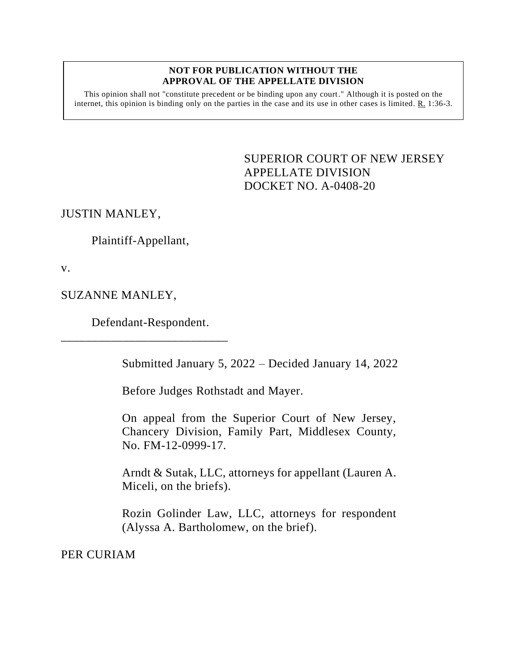## **NOT FOR PUBLICATION WITHOUT THE APPROVAL OF THE APPELLATE DIVISION**

This opinion shall not "constitute precedent or be binding upon any court." Although it is posted on the internet, this opinion is binding only on the parties in the case and its use in other cases is limited. R. 1:36-3.

> <span id="page-0-0"></span>SUPERIOR COURT OF NEW JERSEY APPELLATE DIVISION DOCKET NO. A-0408-20

JUSTIN MANLEY,

Plaintiff-Appellant,

v.

SUZANNE MANLEY,

Defendant-Respondent.

\_\_\_\_\_\_\_\_\_\_\_\_\_\_\_\_\_\_\_\_\_\_\_\_\_\_\_

Submitted January 5, 2022 – Decided January 14, 2022

Before Judges Rothstadt and Mayer.

On appeal from the Superior Court of New Jersey, Chancery Division, Family Part, Middlesex County, No. FM-12-0999-17.

Arndt & Sutak, LLC, attorneys for appellant (Lauren A. Miceli, on the briefs).

Rozin Golinder Law, LLC, attorneys for respondent (Alyssa A. Bartholomew, on the brief).

PER CURIAM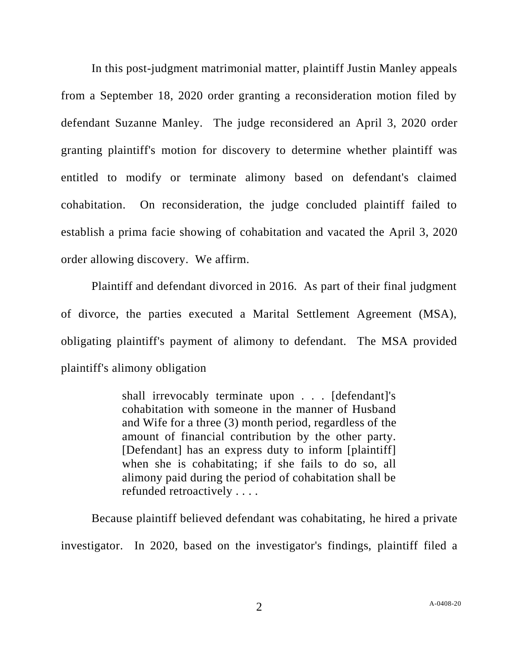In this post-judgment matrimonial matter, plaintiff Justin Manley appeals from a September 18, 2020 order granting a reconsideration motion filed by defendant Suzanne Manley. The judge reconsidered an April 3, 2020 order granting plaintiff's motion for discovery to determine whether plaintiff was entitled to modify or terminate alimony based on defendant's claimed cohabitation. On reconsideration, the judge concluded plaintiff failed to establish a prima facie showing of cohabitation and vacated the April 3, 2020 order allowing discovery. We affirm.

Plaintiff and defendant divorced in 2016. As part of their final judgment of divorce, the parties executed a Marital Settlement Agreement (MSA), obligating plaintiff's payment of alimony to defendant. The MSA provided plaintiff's alimony obligation

> shall irrevocably terminate upon . . . [defendant]'s cohabitation with someone in the manner of Husband and Wife for a three (3) month period, regardless of the amount of financial contribution by the other party. [Defendant] has an express duty to inform [plaintiff] when she is cohabitating; if she fails to do so, all alimony paid during the period of cohabitation shall be refunded retroactively . . . .

Because plaintiff believed defendant was cohabitating, he hired a private investigator. In 2020, based on the investigator's findings, plaintiff filed a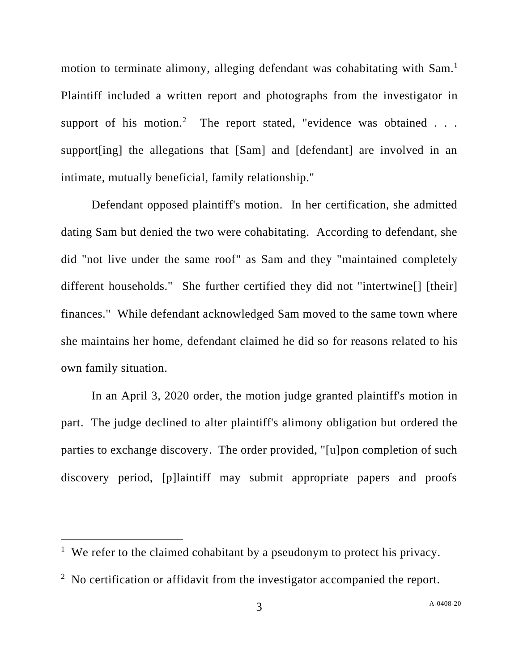motion to terminate alimony, alleging defendant was cohabitating with Sam.<sup>1</sup> Plaintiff included a written report and photographs from the investigator in support of his motion.<sup>2</sup> The report stated, "evidence was obtained  $\ldots$ support [ing] the allegations that [Sam] and [defendant] are involved in an intimate, mutually beneficial, family relationship."

Defendant opposed plaintiff's motion. In her certification, she admitted dating Sam but denied the two were cohabitating. According to defendant, she did "not live under the same roof" as Sam and they "maintained completely different households." She further certified they did not "intertwine[] [their] finances." While defendant acknowledged Sam moved to the same town where she maintains her home, defendant claimed he did so for reasons related to his own family situation.

In an April 3, 2020 order, the motion judge granted plaintiff's motion in part. The judge declined to alter plaintiff's alimony obligation but ordered the parties to exchange discovery. The order provided, "[u]pon completion of such discovery period, [p]laintiff may submit appropriate papers and proofs

<sup>&</sup>lt;sup>1</sup> We refer to the claimed cohabitant by a pseudonym to protect his privacy.

<sup>&</sup>lt;sup>2</sup> No certification or affidavit from the investigator accompanied the report.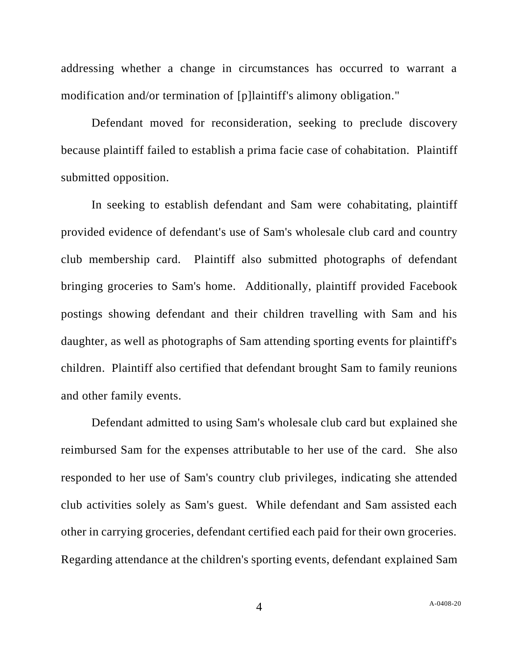addressing whether a change in circumstances has occurred to warrant a modification and/or termination of [p]laintiff's alimony obligation."

Defendant moved for reconsideration, seeking to preclude discovery because plaintiff failed to establish a prima facie case of cohabitation. Plaintiff submitted opposition.

In seeking to establish defendant and Sam were cohabitating, plaintiff provided evidence of defendant's use of Sam's wholesale club card and country club membership card. Plaintiff also submitted photographs of defendant bringing groceries to Sam's home. Additionally, plaintiff provided Facebook postings showing defendant and their children travelling with Sam and his daughter, as well as photographs of Sam attending sporting events for plaintiff's children. Plaintiff also certified that defendant brought Sam to family reunions and other family events.

Defendant admitted to using Sam's wholesale club card but explained she reimbursed Sam for the expenses attributable to her use of the card. She also responded to her use of Sam's country club privileges, indicating she attended club activities solely as Sam's guest. While defendant and Sam assisted each other in carrying groceries, defendant certified each paid for their own groceries. Regarding attendance at the children's sporting events, defendant explained Sam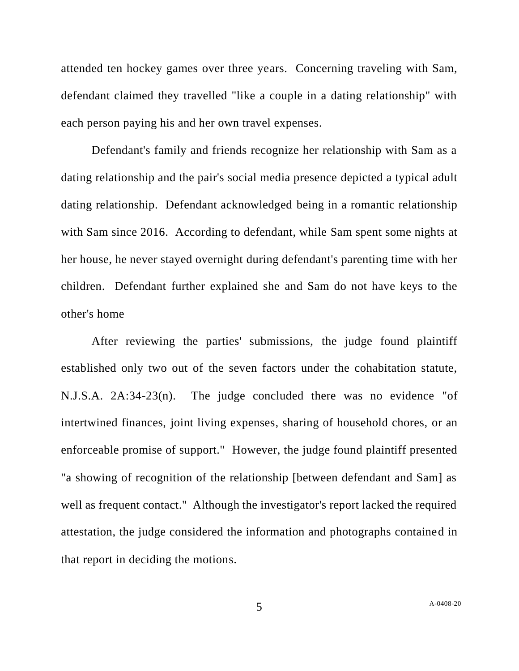attended ten hockey games over three years. Concerning traveling with Sam, defendant claimed they travelled "like a couple in a dating relationship" with each person paying his and her own travel expenses.

Defendant's family and friends recognize her relationship with Sam as a dating relationship and the pair's social media presence depicted a typical adult dating relationship. Defendant acknowledged being in a romantic relationship with Sam since 2016. According to defendant, while Sam spent some nights at her house, he never stayed overnight during defendant's parenting time with her children. Defendant further explained she and Sam do not have keys to the other's home

After reviewing the parties' submissions, the judge found plaintiff established only two out of the seven factors under the cohabitation statute, N.J.S.A. 2A:34-23(n). The judge concluded there was no evidence "of intertwined finances, joint living expenses, sharing of household chores, or an enforceable promise of support." However, the judge found plaintiff presented "a showing of recognition of the relationship [between defendant and Sam] as well as frequent contact." Although the investigator's report lacked the required attestation, the judge considered the information and photographs contained in that report in deciding the motions.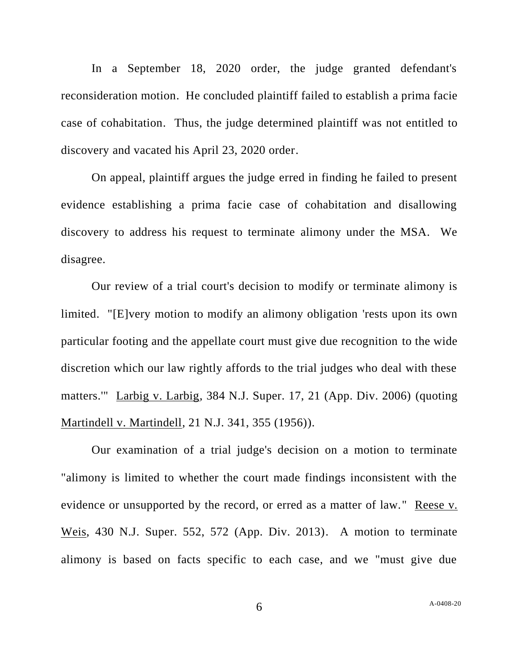In a September 18, 2020 order, the judge granted defendant's reconsideration motion. He concluded plaintiff failed to establish a prima facie case of cohabitation. Thus, the judge determined plaintiff was not entitled to discovery and vacated his April 23, 2020 order.

On appeal, plaintiff argues the judge erred in finding he failed to present evidence establishing a prima facie case of cohabitation and disallowing discovery to address his request to terminate alimony under the MSA. We disagree.

Our review of a trial court's decision to modify or terminate alimony is limited. "[E]very motion to modify an alimony obligation 'rests upon its own particular footing and the appellate court must give due recognition to the wide discretion which our law rightly affords to the trial judges who deal with these matters.'" Larbig v. Larbig, 384 N.J. Super. 17, 21 (App. Div. 2006) (quoting Martindell v. Martindell, 21 N.J. 341, 355 (1956)).

Our examination of a trial judge's decision on a motion to terminate "alimony is limited to whether the court made findings inconsistent with the evidence or unsupported by the record, or erred as a matter of law." Reese v. Weis, 430 N.J. Super. 552, 572 (App. Div. 2013). A motion to terminate alimony is based on facts specific to each case, and we "must give due

6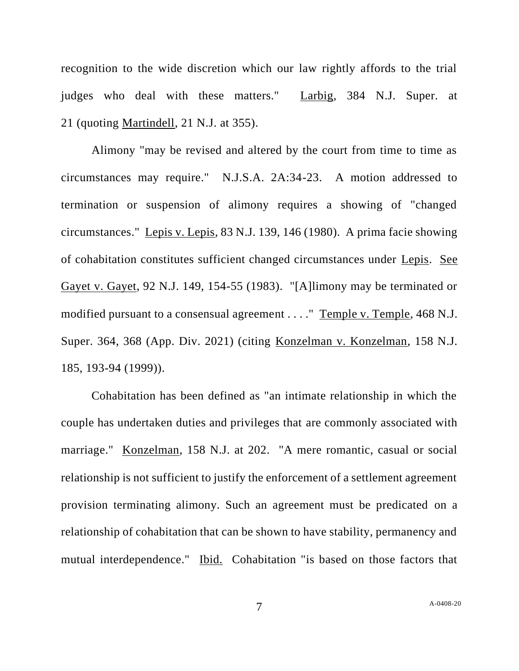recognition to the wide discretion which our law rightly affords to the trial judges who deal with these matters." Larbig, 384 N.J. Super. at 21 (quoting Martindell, 21 N.J. at 355).

Alimony "may be revised and altered by the court from time to time as circumstances may require." N.J.S.A. 2A:34-23. A motion addressed to termination or suspension of alimony requires a showing of "changed circumstances." Lepis v. Lepis, 83 N.J. 139, 146 (1980). A prima facie showing of cohabitation constitutes sufficient changed circumstances under Lepis. See Gayet v. Gayet, 92 N.J. 149, 154-55 (1983). "[A]limony may be terminated or modified pursuant to a consensual agreement . . . ." Temple v. Temple, 468 N.J. Super. 364, 368 (App. Div. 2021) (citing Konzelman v. Konzelman, 158 N.J. 185, 193-94 (1999)).

Cohabitation has been defined as "an intimate relationship in which the couple has undertaken duties and privileges that are commonly associated with marriage." Konzelman, 158 N.J. at 202. "A mere romantic, casual or social relationship is not sufficient to justify the enforcement of a settlement agreement provision terminating alimony. Such an agreement must be predicated on a relationship of cohabitation that can be shown to have stability, permanency and mutual interdependence." Ibid. Cohabitation "is based on those factors that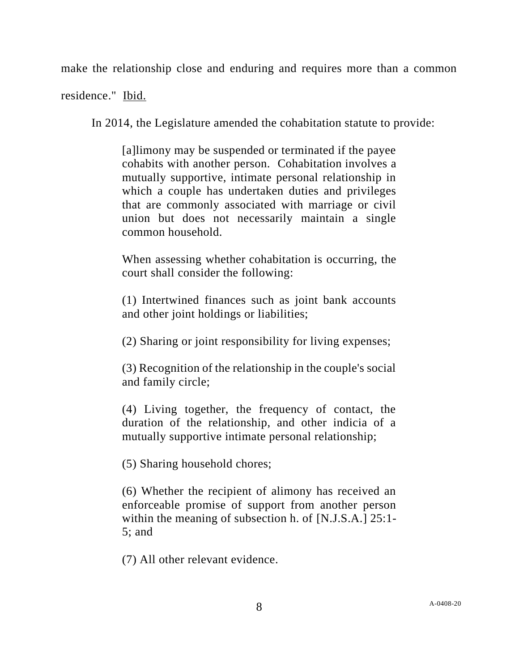make the relationship close and enduring and requires more than a common

residence." Ibid.

In 2014, the Legislature amended the cohabitation statute to provide:

[a]limony may be suspended or terminated if the payee cohabits with another person. Cohabitation involves a mutually supportive, intimate personal relationship in which a couple has undertaken duties and privileges that are commonly associated with marriage or civil union but does not necessarily maintain a single common household.

When assessing whether cohabitation is occurring, the court shall consider the following:

(1) Intertwined finances such as joint bank accounts and other joint holdings or liabilities;

(2) Sharing or joint responsibility for living expenses;

(3) Recognition of the relationship in the couple's social and family circle;

(4) Living together, the frequency of contact, the duration of the relationship, and other indicia of a mutually supportive intimate personal relationship;

(5) Sharing household chores;

(6) Whether the recipient of alimony has received an enforceable promise of support from another person within the meaning of subsection h. of [N.J.S.A.] 25:1- 5; and

(7) All other relevant evidence.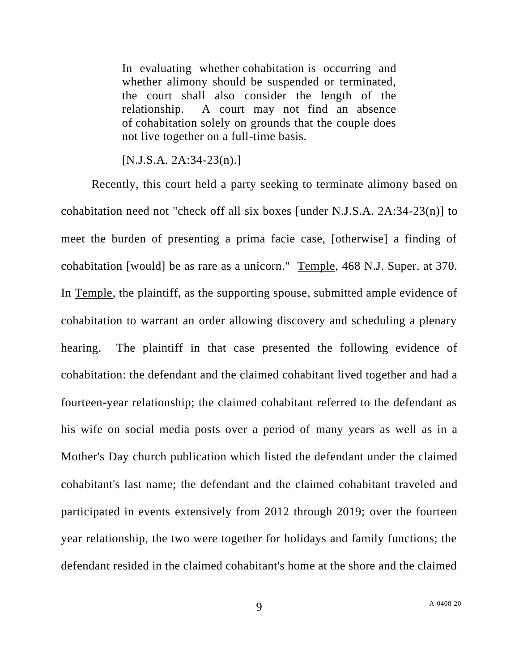In evaluating whether cohabitation is occurring and whether alimony should be suspended or terminated, the court shall also consider the length of the relationship. A court may not find an absence of cohabitation solely on grounds that the couple does not live together on a full-time basis.

[N.J.S.A. 2A:34-23(n).]

Recently, this court held a party seeking to terminate alimony based on cohabitation need not "check off all six boxes [under N.J.S.A. 2A:34-23(n)] to meet the burden of presenting a prima facie case, [otherwise] a finding of cohabitation [would] be as rare as a unicorn." Temple, 468 N.J. Super. at 370. In Temple, the plaintiff, as the supporting spouse, submitted ample evidence of cohabitation to warrant an order allowing discovery and scheduling a plenary hearing. The plaintiff in that case presented the following evidence of cohabitation: the defendant and the claimed cohabitant lived together and had a fourteen-year relationship; the claimed cohabitant referred to the defendant as his wife on social media posts over a period of many years as well as in a Mother's Day church publication which listed the defendant under the claimed cohabitant's last name; the defendant and the claimed cohabitant traveled and participated in events extensively from 2012 through 2019; over the fourteen year relationship, the two were together for holidays and family functions; the defendant resided in the claimed cohabitant's home at the shore and the claimed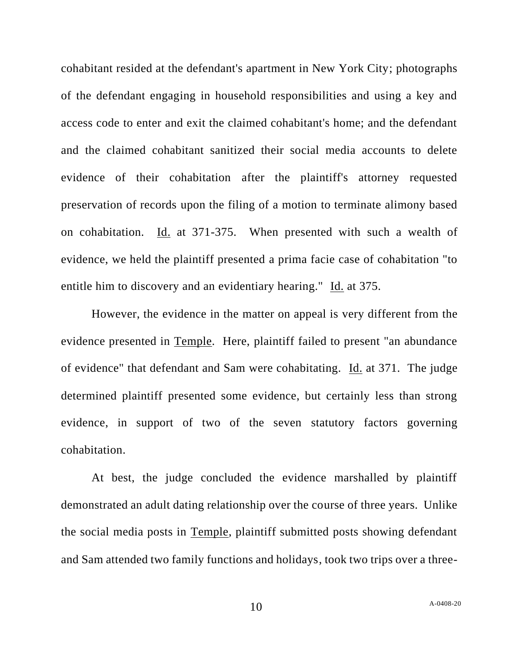cohabitant resided at the defendant's apartment in New York City; photographs of the defendant engaging in household responsibilities and using a key and access code to enter and exit the claimed cohabitant's home; and the defendant and the claimed cohabitant sanitized their social media accounts to delete evidence of their cohabitation after the plaintiff's attorney requested preservation of records upon the filing of a motion to terminate alimony based on cohabitation. Id. at 371-375. When presented with such a wealth of evidence, we held the plaintiff presented a prima facie case of cohabitation "to entitle him to discovery and an evidentiary hearing." Id. at 375.

However, the evidence in the matter on appeal is very different from the evidence presented in Temple. Here, plaintiff failed to present "an abundance of evidence" that defendant and Sam were cohabitating. Id. at 371. The judge determined plaintiff presented some evidence, but certainly less than strong evidence, in support of two of the seven statutory factors governing cohabitation.

At best, the judge concluded the evidence marshalled by plaintiff demonstrated an adult dating relationship over the course of three years. Unlike the social media posts in Temple, plaintiff submitted posts showing defendant and Sam attended two family functions and holidays, took two trips over a three-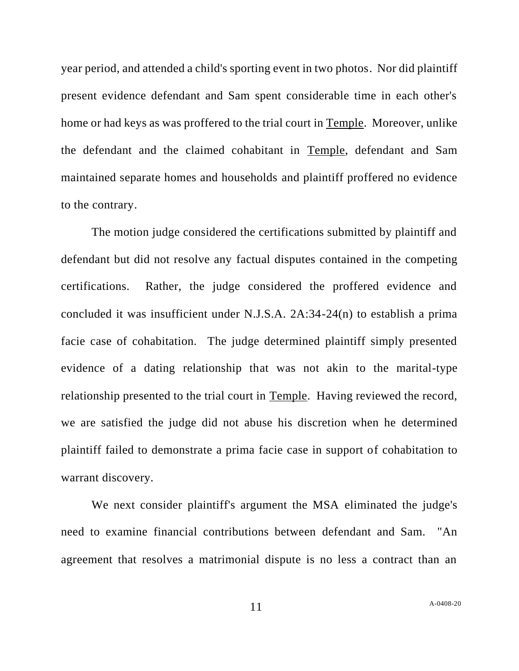year period, and attended a child's sporting event in two photos. Nor did plaintiff present evidence defendant and Sam spent considerable time in each other's home or had keys as was proffered to the trial court in Temple. Moreover, unlike the defendant and the claimed cohabitant in Temple, defendant and Sam maintained separate homes and households and plaintiff proffered no evidence to the contrary.

The motion judge considered the certifications submitted by plaintiff and defendant but did not resolve any factual disputes contained in the competing certifications. Rather, the judge considered the proffered evidence and concluded it was insufficient under N.J.S.A. 2A:34-24(n) to establish a prima facie case of cohabitation. The judge determined plaintiff simply presented evidence of a dating relationship that was not akin to the marital-type relationship presented to the trial court in Temple. Having reviewed the record, we are satisfied the judge did not abuse his discretion when he determined plaintiff failed to demonstrate a prima facie case in support of cohabitation to warrant discovery.

We next consider plaintiff's argument the MSA eliminated the judge's need to examine financial contributions between defendant and Sam. "An agreement that resolves a matrimonial dispute is no less a contract than an